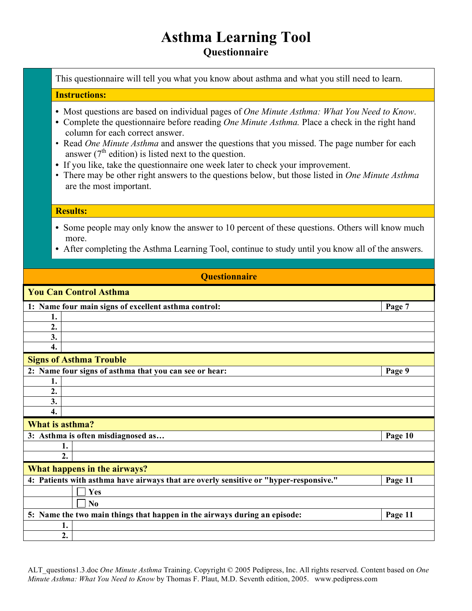## **Asthma Learning Tool Questionnaire**

This questionnaire will tell you what you know about asthma and what you still need to learn.

## **Instructions:**

- **•** Most questions are based on individual pages of *One Minute Asthma: What You Need to Know*.
- **•** Complete the questionnaire before reading *One Minute Asthma.* Place a check in the right hand column for each correct answer.
- Read *One Minute Asthma* and answer the questions that you missed. The page number for each answer ( $7<sup>th</sup>$  edition) is listed next to the question.
- **•** If you like, take the questionnaire one week later to check your improvement.
- There may be other right answers to the questions below, but those listed in *One Minute Asthma* are the most important.

## **Results:**

- Some people may only know the answer to 10 percent of these questions. Others will know much more.
- After completing the Asthma Learning Tool, continue to study until you know all of the answers.

| <b>Questionnaire</b>                                                                  |         |
|---------------------------------------------------------------------------------------|---------|
| <b>You Can Control Asthma</b>                                                         |         |
| 1: Name four main signs of excellent asthma control:                                  | Page 7  |
| 1.                                                                                    |         |
| 2.                                                                                    |         |
| 3.                                                                                    |         |
| 4.                                                                                    |         |
| <b>Signs of Asthma Trouble</b>                                                        |         |
| 2: Name four signs of asthma that you can see or hear:                                | Page 9  |
| 1.                                                                                    |         |
| 2.                                                                                    |         |
| 3.                                                                                    |         |
| 4.                                                                                    |         |
| What is asthma?                                                                       |         |
| 3: Asthma is often misdiagnosed as                                                    | Page 10 |
| 1.                                                                                    |         |
| $\overline{2}$ .                                                                      |         |
| What happens in the airways?                                                          |         |
| 4: Patients with asthma have airways that are overly sensitive or "hyper-responsive." | Page 11 |
| Yes                                                                                   |         |
| No                                                                                    |         |
| 5: Name the two main things that happen in the airways during an episode:             | Page 11 |
| 1.                                                                                    |         |
| $\overline{2}$ .                                                                      |         |

ALT\_questions1.3.doc *One Minute Asthma* Training. Copyright © 2005 Pedipress, Inc. All rights reserved. Content based on *One Minute Asthma: What You Need to Know* by Thomas F. Plaut, M.D. Seventh edition, 2005. www.pedipress.com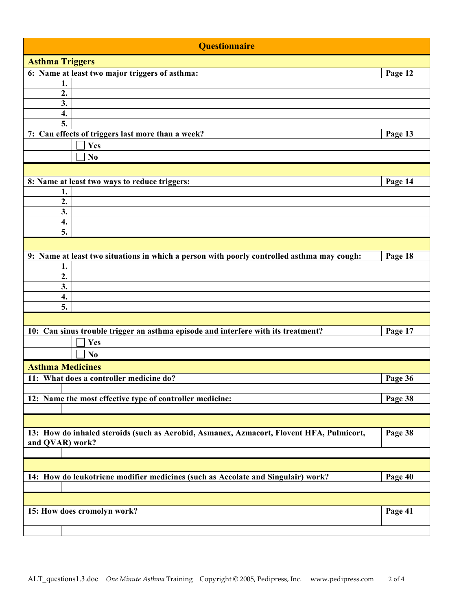| <b>Questionnaire</b>                                                                                        |         |
|-------------------------------------------------------------------------------------------------------------|---------|
| <b>Asthma Triggers</b>                                                                                      |         |
| 6: Name at least two major triggers of asthma:                                                              | Page 12 |
| 1.                                                                                                          |         |
| 2.                                                                                                          |         |
| 3.                                                                                                          |         |
| $\overline{4}$ .                                                                                            |         |
| 5.                                                                                                          |         |
| 7: Can effects of triggers last more than a week?                                                           | Page 13 |
| <b>Yes</b>                                                                                                  |         |
| No                                                                                                          |         |
|                                                                                                             |         |
| 8: Name at least two ways to reduce triggers:                                                               | Page 14 |
| 1.                                                                                                          |         |
| 2.                                                                                                          |         |
| 3.                                                                                                          |         |
| 4.                                                                                                          |         |
| 5.                                                                                                          |         |
|                                                                                                             |         |
| 9: Name at least two situations in which a person with poorly controlled asthma may cough:                  | Page 18 |
| 1.                                                                                                          |         |
| $\overline{2}$ .                                                                                            |         |
| 3.                                                                                                          |         |
| 4.                                                                                                          |         |
| 5.                                                                                                          |         |
|                                                                                                             |         |
| 10: Can sinus trouble trigger an asthma episode and interfere with its treatment?                           | Page 17 |
| Yes                                                                                                         |         |
| N <sub>0</sub>                                                                                              |         |
| <b>Asthma Medicines</b>                                                                                     |         |
| 11: What does a controller medicine do?                                                                     | Page 36 |
|                                                                                                             |         |
| 12: Name the most effective type of controller medicine:                                                    | Page 38 |
|                                                                                                             |         |
|                                                                                                             |         |
|                                                                                                             |         |
| 13: How do inhaled steroids (such as Aerobid, Asmanex, Azmacort, Flovent HFA, Pulmicort,<br>and QVAR) work? | Page 38 |
|                                                                                                             |         |
|                                                                                                             |         |
|                                                                                                             |         |
| 14: How do leukotriene modifier medicines (such as Accolate and Singulair) work?                            | Page 40 |
|                                                                                                             |         |
|                                                                                                             |         |
| 15: How does cromolyn work?                                                                                 | Page 41 |
|                                                                                                             |         |
|                                                                                                             |         |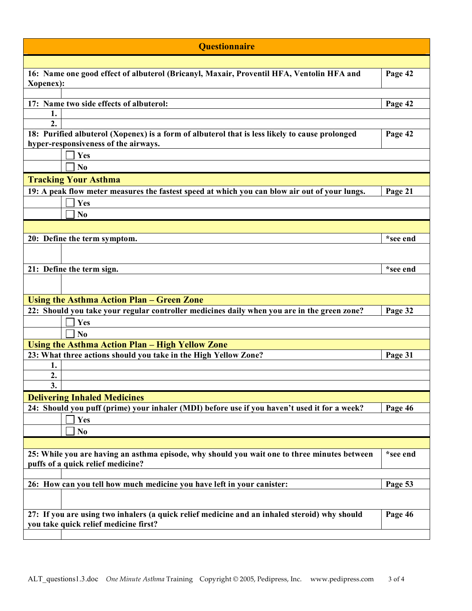| <b>Questionnaire</b>                                                                                                                   |          |
|----------------------------------------------------------------------------------------------------------------------------------------|----------|
|                                                                                                                                        |          |
| 16: Name one good effect of albuterol (Bricanyl, Maxair, Proventil HFA, Ventolin HFA and<br>Xopenex):                                  | Page 42  |
|                                                                                                                                        |          |
| 17: Name two side effects of albuterol:                                                                                                | Page 42  |
| 1.                                                                                                                                     |          |
| 2.                                                                                                                                     |          |
| 18: Purified albuterol (Xopenex) is a form of albuterol that is less likely to cause prolonged<br>hyper-responsiveness of the airways. | Page 42  |
| Yes                                                                                                                                    |          |
| No                                                                                                                                     |          |
| <b>Tracking Your Asthma</b>                                                                                                            |          |
| 19: A peak flow meter measures the fastest speed at which you can blow air out of your lungs.                                          | Page 21  |
| Yes                                                                                                                                    |          |
| N <sub>0</sub>                                                                                                                         |          |
|                                                                                                                                        |          |
| 20: Define the term symptom.                                                                                                           | *see end |
|                                                                                                                                        |          |
|                                                                                                                                        |          |
| 21: Define the term sign.                                                                                                              | *see end |
|                                                                                                                                        |          |
| <b>Using the Asthma Action Plan - Green Zone</b>                                                                                       |          |
| 22: Should you take your regular controller medicines daily when you are in the green zone?                                            | Page 32  |
| Yes                                                                                                                                    |          |
| No                                                                                                                                     |          |
| Using the Asthma Action Plan - High Yellow Zone                                                                                        |          |
| 23: What three actions should you take in the High Yellow Zone?                                                                        | Page 31  |
| 1.                                                                                                                                     |          |
| 2.                                                                                                                                     |          |
| $\overline{3}$ .                                                                                                                       |          |
| <b>Delivering Inhaled Medicines</b><br>24: Should you puff (prime) your inhaler (MDI) before use if you haven't used it for a week?    | Page 46  |
| Yes                                                                                                                                    |          |
| N <sub>0</sub>                                                                                                                         |          |
|                                                                                                                                        |          |
| 25: While you are having an asthma episode, why should you wait one to three minutes between                                           | *see end |
| puffs of a quick relief medicine?                                                                                                      |          |
|                                                                                                                                        |          |
| 26: How can you tell how much medicine you have left in your canister:                                                                 | Page 53  |
|                                                                                                                                        |          |
| 27: If you are using two inhalers (a quick relief medicine and an inhaled steroid) why should<br>you take quick relief medicine first? | Page 46  |
|                                                                                                                                        |          |